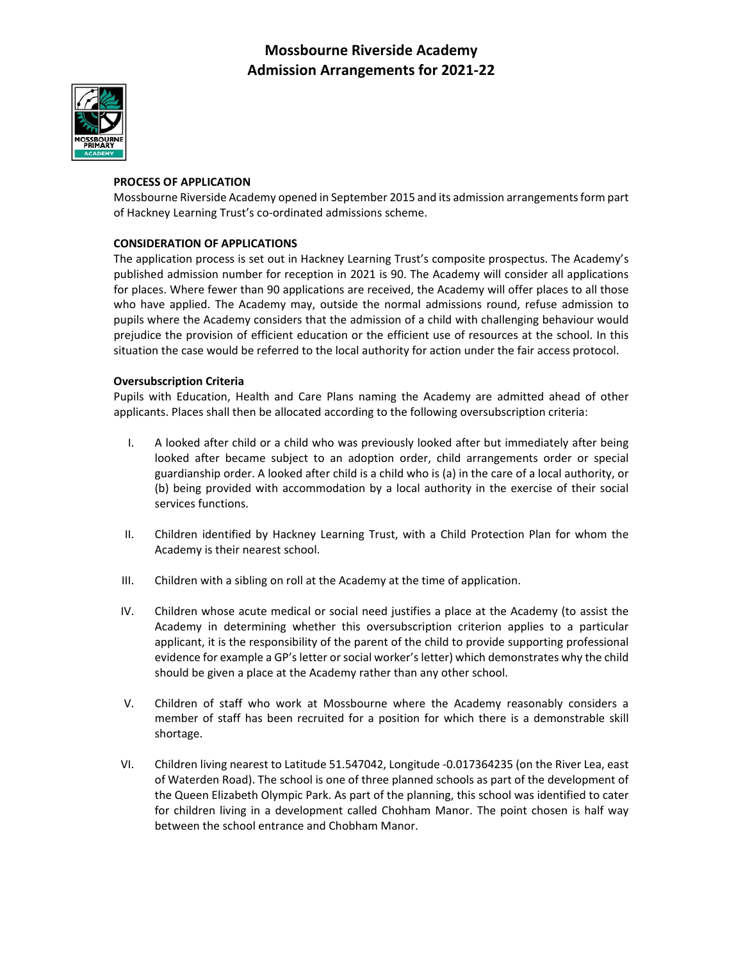

### **PROCESS OF APPLICATION**

Mossbourne Riverside Academy opened in September 2015 and its admission arrangementsform part of Hackney Learning Trust's co‐ordinated admissions scheme.

### **CONSIDERATION OF APPLICATIONS**

The application process is set out in Hackney Learning Trust's composite prospectus. The Academy's published admission number for reception in 2021 is 90. The Academy will consider all applications for places. Where fewer than 90 applications are received, the Academy will offer places to all those who have applied. The Academy may, outside the normal admissions round, refuse admission to pupils where the Academy considers that the admission of a child with challenging behaviour would prejudice the provision of efficient education or the efficient use of resources at the school. In this situation the case would be referred to the local authority for action under the fair access protocol.

#### **Oversubscription Criteria**

Pupils with Education, Health and Care Plans naming the Academy are admitted ahead of other applicants. Places shall then be allocated according to the following oversubscription criteria:

- I. A looked after child or a child who was previously looked after but immediately after being looked after became subject to an adoption order, child arrangements order or special guardianship order. A looked after child is a child who is (a) in the care of a local authority, or (b) being provided with accommodation by a local authority in the exercise of their social services functions.
- II. Children identified by Hackney Learning Trust, with a Child Protection Plan for whom the Academy is their nearest school.
- III. Children with a sibling on roll at the Academy at the time of application.
- IV. Children whose acute medical or social need justifies a place at the Academy (to assist the Academy in determining whether this oversubscription criterion applies to a particular applicant, it is the responsibility of the parent of the child to provide supporting professional evidence for example a GP's letter or social worker's letter) which demonstrates why the child should be given a place at the Academy rather than any other school.
- V. Children of staff who work at Mossbourne where the Academy reasonably considers a member of staff has been recruited for a position for which there is a demonstrable skill shortage.
- VI. Children living nearest to Latitude 51.547042, Longitude ‐0.017364235 (on the River Lea, east of Waterden Road). The school is one of three planned schools as part of the development of the Queen Elizabeth Olympic Park. As part of the planning, this school was identified to cater for children living in a development called Chohham Manor. The point chosen is half way between the school entrance and Chobham Manor.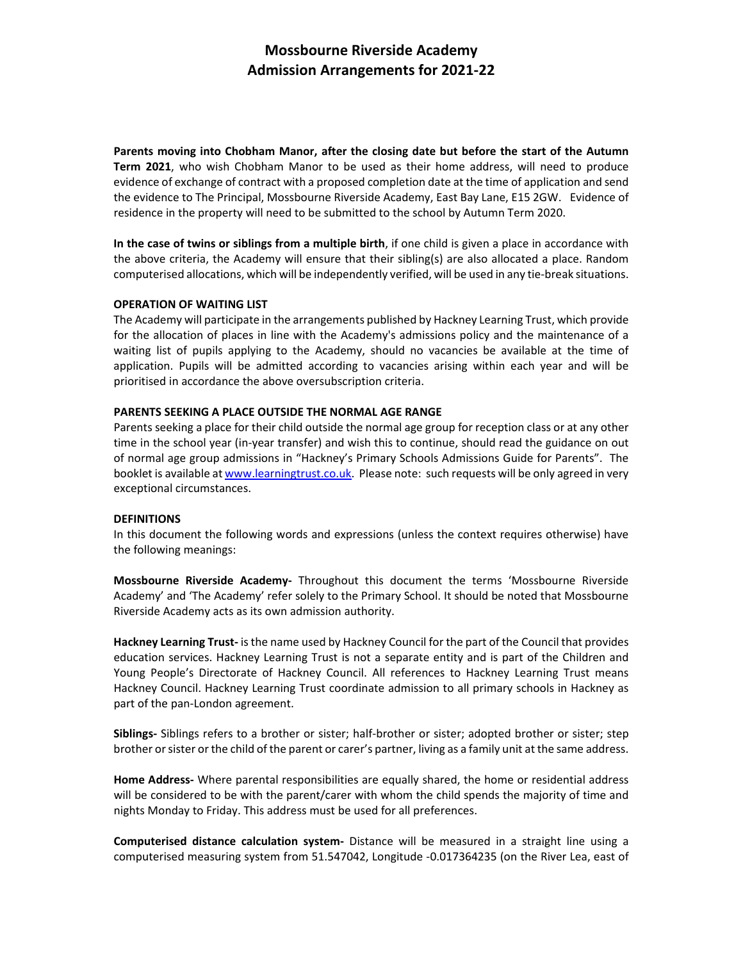**Parents moving into Chobham Manor, after the closing date but before the start of the Autumn Term 2021**, who wish Chobham Manor to be used as their home address, will need to produce evidence of exchange of contract with a proposed completion date at the time of application and send the evidence to The Principal, Mossbourne Riverside Academy, East Bay Lane, E15 2GW. Evidence of residence in the property will need to be submitted to the school by Autumn Term 2020.

**In the case of twins or siblings from a multiple birth**, if one child is given a place in accordance with the above criteria, the Academy will ensure that their sibling(s) are also allocated a place. Random computerised allocations, which will be independently verified, will be used in any tie‐break situations.

#### **OPERATION OF WAITING LIST**

The Academy will participate in the arrangements published by Hackney Learning Trust, which provide for the allocation of places in line with the Academy's admissions policy and the maintenance of a waiting list of pupils applying to the Academy, should no vacancies be available at the time of application. Pupils will be admitted according to vacancies arising within each year and will be prioritised in accordance the above oversubscription criteria.

#### **PARENTS SEEKING A PLACE OUTSIDE THE NORMAL AGE RANGE**

Parents seeking a place for their child outside the normal age group for reception class or at any other time in the school year (in‐year transfer) and wish this to continue, should read the guidance on out of normal age group admissions in "Hackney's Primary Schools Admissions Guide for Parents". The booklet is available at www.learningtrust.co.uk. Please note: such requests will be only agreed in very exceptional circumstances.

### **DEFINITIONS**

In this document the following words and expressions (unless the context requires otherwise) have the following meanings:

**Mossbourne Riverside Academy‐**  Throughout this document the terms 'Mossbourne Riverside Academy' and 'The Academy' refer solely to the Primary School. It should be noted that Mossbourne Riverside Academy acts as its own admission authority.

**Hackney Learning Trust‐** isthe name used by Hackney Council for the part of the Council that provides education services. Hackney Learning Trust is not a separate entity and is part of the Children and Young People's Directorate of Hackney Council. All references to Hackney Learning Trust means Hackney Council. Hackney Learning Trust coordinate admission to all primary schools in Hackney as part of the pan‐London agreement.

**Siblings‐** Siblings refers to a brother or sister; half‐brother or sister; adopted brother or sister; step brother or sister or the child of the parent or carer's partner, living as a family unit at the same address.

**Home Address‐** Where parental responsibilities are equally shared, the home or residential address will be considered to be with the parent/carer with whom the child spends the majority of time and nights Monday to Friday. This address must be used for all preferences.

**Computerised distance calculation system‐**  Distance will be measured in a straight line using a computerised measuring system from 51.547042, Longitude ‐0.017364235 (on the River Lea, east of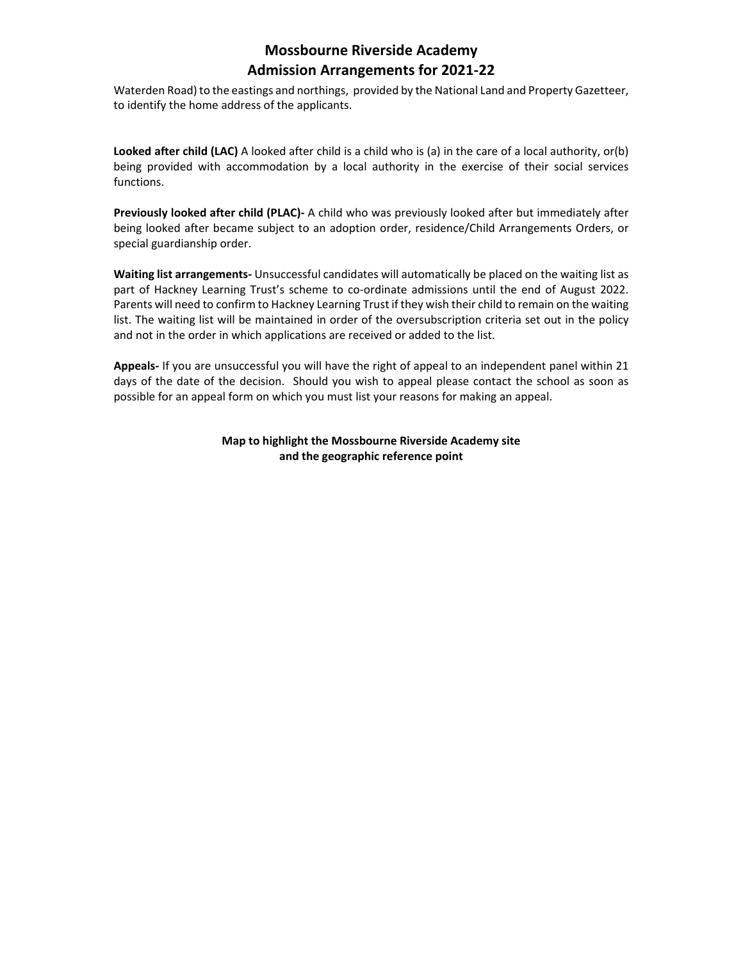Waterden Road) to the eastings and northings, provided by the National Land and Property Gazetteer, to identify the home address of the applicants.

**Looked after child (LAC)** A looked after child is a child who is (a) in the care of a local authority, or(b) being provided with accommodation by a local authority in the exercise of their social services functions.

**Previously looked after child (PLAC)‐** A child who was previously looked after but immediately after being looked after became subject to an adoption order, residence/Child Arrangements Orders, or special guardianship order.

**Waiting list arrangements‐** Unsuccessful candidates will automatically be placed on the waiting list as part of Hackney Learning Trust's scheme to co-ordinate admissions until the end of August 2022. Parents will need to confirm to Hackney Learning Trust if they wish their child to remain on the waiting list. The waiting list will be maintained in order of the oversubscription criteria set out in the policy and not in the order in which applications are received or added to the list.

**Appeals‐** If you are unsuccessful you will have the right of appeal to an independent panel within 21 days of the date of the decision. Should you wish to appeal please contact the school as soon as possible for an appeal form on which you must list your reasons for making an appeal.

> **Map to highlight the Mossbourne Riverside Academy site and the geographic reference point**